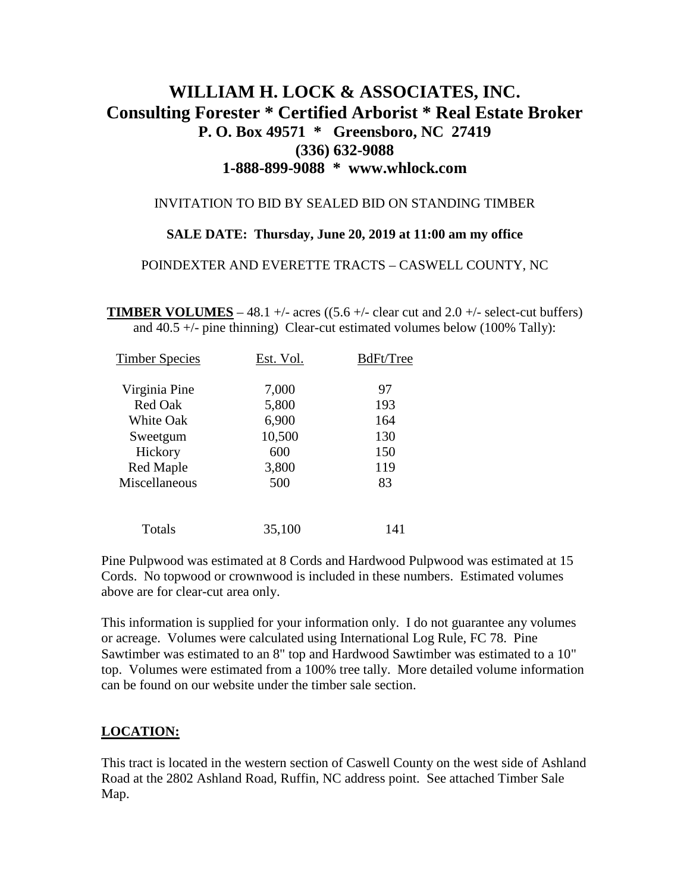# **WILLIAM H. LOCK & ASSOCIATES, INC. Consulting Forester \* Certified Arborist \* Real Estate Broker P. O. Box 49571 \* Greensboro, NC 27419 (336) 632-9088 1-888-899-9088 \* www.whlock.com**

## INVITATION TO BID BY SEALED BID ON STANDING TIMBER

### **SALE DATE: Thursday, June 20, 2019 at 11:00 am my office**

#### POINDEXTER AND EVERETTE TRACTS – CASWELL COUNTY, NC

**TIMBER VOLUMES** – 48.1 +/- acres ((5.6 +/- clear cut and 2.0 +/- select-cut buffers) and 40.5 +/- pine thinning) Clear-cut estimated volumes below (100% Tally):

| <b>Timber Species</b> | Est. Vol. | BdFt/Tree |
|-----------------------|-----------|-----------|
| Virginia Pine         | 7,000     | 97        |
| <b>Red Oak</b>        | 5,800     | 193       |
| <b>White Oak</b>      | 6,900     | 164       |
| Sweetgum              | 10,500    | 130       |
| Hickory               | 600       | 150       |
| Red Maple             | 3,800     | 119       |
| Miscellaneous         | 500       | 83        |
| Totals                | 35,100    | 141       |

Pine Pulpwood was estimated at 8 Cords and Hardwood Pulpwood was estimated at 15 Cords. No topwood or crownwood is included in these numbers. Estimated volumes above are for clear-cut area only.

This information is supplied for your information only. I do not guarantee any volumes or acreage. Volumes were calculated using International Log Rule, FC 78. Pine Sawtimber was estimated to an 8" top and Hardwood Sawtimber was estimated to a 10" top. Volumes were estimated from a 100% tree tally. More detailed volume information can be found on our website under the timber sale section.

## **LOCATION:**

This tract is located in the western section of Caswell County on the west side of Ashland Road at the 2802 Ashland Road, Ruffin, NC address point. See attached Timber Sale Map.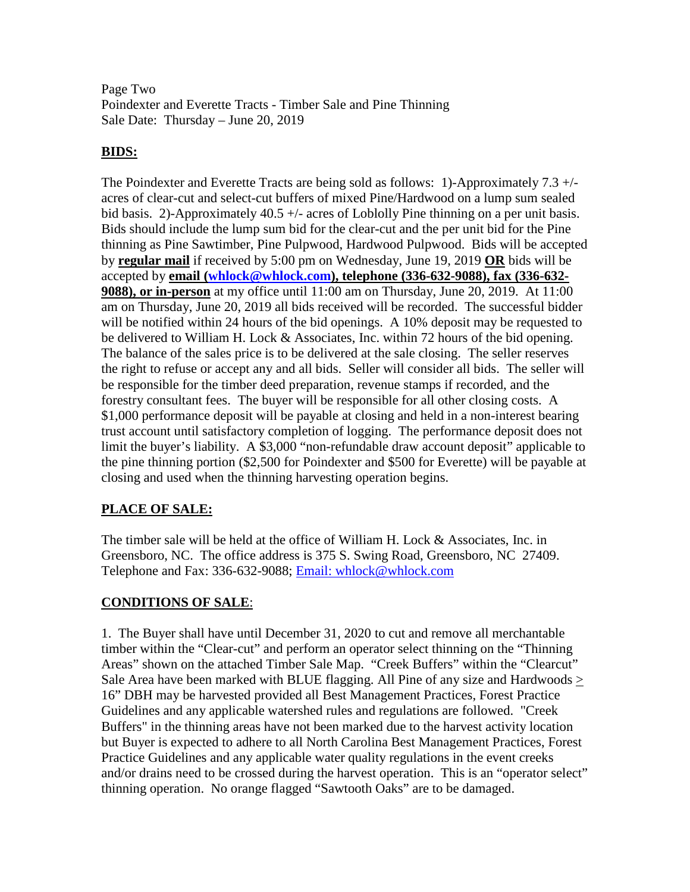Page Two Poindexter and Everette Tracts - Timber Sale and Pine Thinning Sale Date: Thursday – June 20, 2019

## **BIDS:**

The Poindexter and Everette Tracts are being sold as follows: 1)-Approximately 7.3 +/ acres of clear-cut and select-cut buffers of mixed Pine/Hardwood on a lump sum sealed bid basis. 2)-Approximately 40.5 +/- acres of Loblolly Pine thinning on a per unit basis. Bids should include the lump sum bid for the clear-cut and the per unit bid for the Pine thinning as Pine Sawtimber, Pine Pulpwood, Hardwood Pulpwood. Bids will be accepted by **regular mail** if received by 5:00 pm on Wednesday, June 19, 2019 **OR** bids will be accepted by **email [\(whlock@whlock.com\)](mailto:whlock@whlock.com), telephone (336-632-9088), fax (336-632- 9088), or in-person** at my office until 11:00 am on Thursday, June 20, 2019. At 11:00 am on Thursday, June 20, 2019 all bids received will be recorded. The successful bidder will be notified within 24 hours of the bid openings. A 10% deposit may be requested to be delivered to William H. Lock & Associates, Inc. within 72 hours of the bid opening. The balance of the sales price is to be delivered at the sale closing. The seller reserves the right to refuse or accept any and all bids. Seller will consider all bids. The seller will be responsible for the timber deed preparation, revenue stamps if recorded, and the forestry consultant fees. The buyer will be responsible for all other closing costs. A \$1,000 performance deposit will be payable at closing and held in a non-interest bearing trust account until satisfactory completion of logging. The performance deposit does not limit the buyer's liability. A \$3,000 "non-refundable draw account deposit" applicable to the pine thinning portion (\$2,500 for Poindexter and \$500 for Everette) will be payable at closing and used when the thinning harvesting operation begins.

# **PLACE OF SALE:**

The timber sale will be held at the office of William H. Lock & Associates, Inc. in Greensboro, NC. The office address is 375 S. Swing Road, Greensboro, NC 27409. Telephone and Fax: 336-632-9088; Email: whlock@whlock.com

# **CONDITIONS OF SALE**:

1. The Buyer shall have until December 31, 2020 to cut and remove all merchantable timber within the "Clear-cut" and perform an operator select thinning on the "Thinning Areas" shown on the attached Timber Sale Map. "Creek Buffers" within the "Clearcut" Sale Area have been marked with BLUE flagging. All Pine of any size and Hardwoods > 16" DBH may be harvested provided all Best Management Practices, Forest Practice Guidelines and any applicable watershed rules and regulations are followed. "Creek Buffers" in the thinning areas have not been marked due to the harvest activity location but Buyer is expected to adhere to all North Carolina Best Management Practices, Forest Practice Guidelines and any applicable water quality regulations in the event creeks and/or drains need to be crossed during the harvest operation. This is an "operator select" thinning operation. No orange flagged "Sawtooth Oaks" are to be damaged.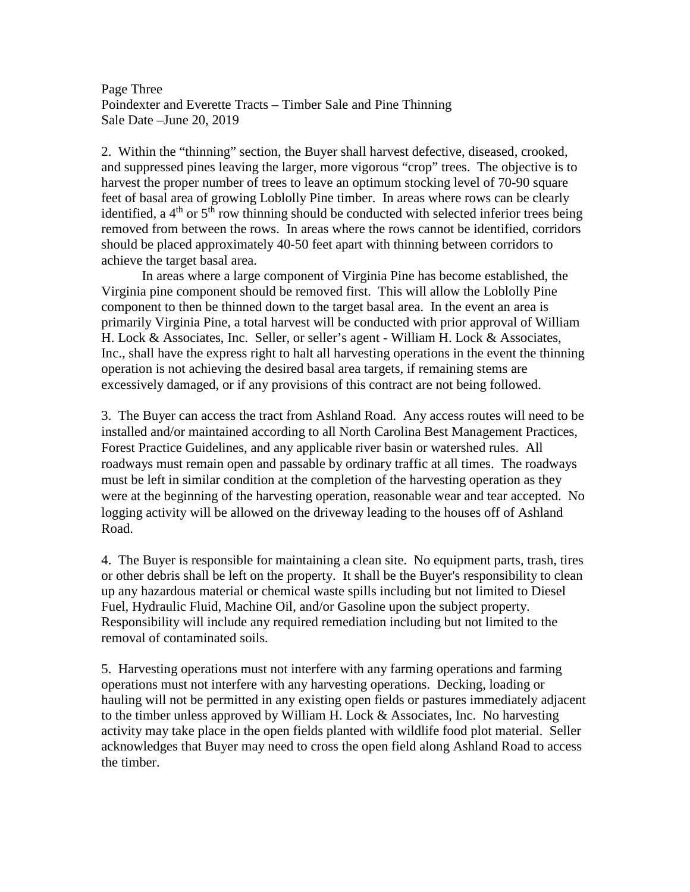Page Three Poindexter and Everette Tracts – Timber Sale and Pine Thinning Sale Date –June 20, 2019

2. Within the "thinning" section, the Buyer shall harvest defective, diseased, crooked, and suppressed pines leaving the larger, more vigorous "crop" trees. The objective is to harvest the proper number of trees to leave an optimum stocking level of 70-90 square feet of basal area of growing Loblolly Pine timber. In areas where rows can be clearly identified, a  $4<sup>th</sup>$  or  $5<sup>th</sup>$  row thinning should be conducted with selected inferior trees being removed from between the rows. In areas where the rows cannot be identified, corridors should be placed approximately 40-50 feet apart with thinning between corridors to achieve the target basal area.

In areas where a large component of Virginia Pine has become established, the Virginia pine component should be removed first. This will allow the Loblolly Pine component to then be thinned down to the target basal area. In the event an area is primarily Virginia Pine, a total harvest will be conducted with prior approval of William H. Lock & Associates, Inc. Seller, or seller's agent - William H. Lock & Associates, Inc., shall have the express right to halt all harvesting operations in the event the thinning operation is not achieving the desired basal area targets, if remaining stems are excessively damaged, or if any provisions of this contract are not being followed.

3. The Buyer can access the tract from Ashland Road. Any access routes will need to be installed and/or maintained according to all North Carolina Best Management Practices, Forest Practice Guidelines, and any applicable river basin or watershed rules. All roadways must remain open and passable by ordinary traffic at all times. The roadways must be left in similar condition at the completion of the harvesting operation as they were at the beginning of the harvesting operation, reasonable wear and tear accepted. No logging activity will be allowed on the driveway leading to the houses off of Ashland Road.

4. The Buyer is responsible for maintaining a clean site. No equipment parts, trash, tires or other debris shall be left on the property. It shall be the Buyer's responsibility to clean up any hazardous material or chemical waste spills including but not limited to Diesel Fuel, Hydraulic Fluid, Machine Oil, and/or Gasoline upon the subject property. Responsibility will include any required remediation including but not limited to the removal of contaminated soils.

5. Harvesting operations must not interfere with any farming operations and farming operations must not interfere with any harvesting operations. Decking, loading or hauling will not be permitted in any existing open fields or pastures immediately adjacent to the timber unless approved by William H. Lock  $\&$  Associates, Inc. No harvesting activity may take place in the open fields planted with wildlife food plot material. Seller acknowledges that Buyer may need to cross the open field along Ashland Road to access the timber.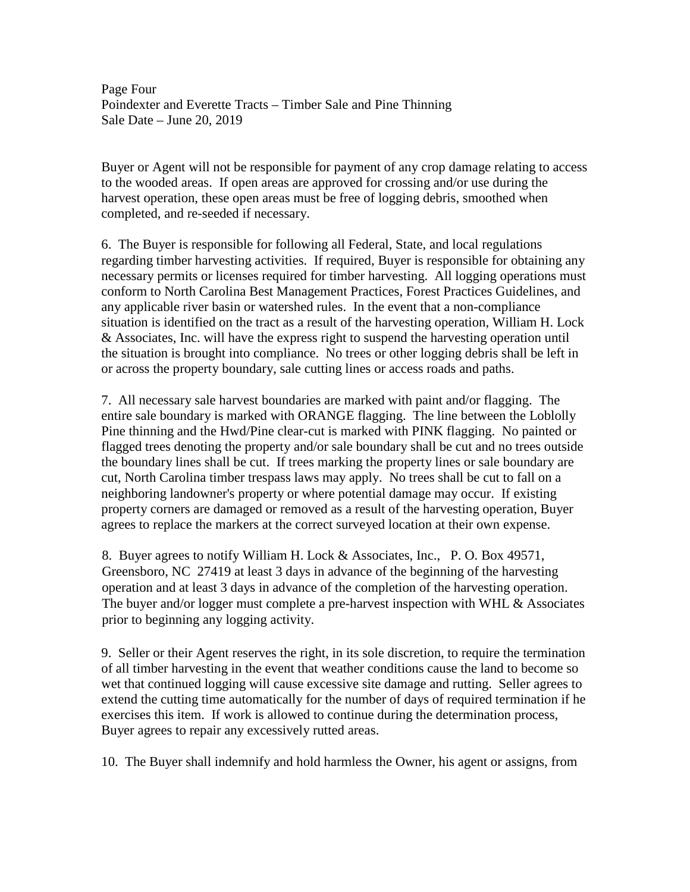Page Four Poindexter and Everette Tracts – Timber Sale and Pine Thinning Sale Date – June 20, 2019

Buyer or Agent will not be responsible for payment of any crop damage relating to access to the wooded areas. If open areas are approved for crossing and/or use during the harvest operation, these open areas must be free of logging debris, smoothed when completed, and re-seeded if necessary.

6. The Buyer is responsible for following all Federal, State, and local regulations regarding timber harvesting activities. If required, Buyer is responsible for obtaining any necessary permits or licenses required for timber harvesting. All logging operations must conform to North Carolina Best Management Practices, Forest Practices Guidelines, and any applicable river basin or watershed rules. In the event that a non-compliance situation is identified on the tract as a result of the harvesting operation, William H. Lock & Associates, Inc. will have the express right to suspend the harvesting operation until the situation is brought into compliance. No trees or other logging debris shall be left in or across the property boundary, sale cutting lines or access roads and paths.

7. All necessary sale harvest boundaries are marked with paint and/or flagging. The entire sale boundary is marked with ORANGE flagging. The line between the Loblolly Pine thinning and the Hwd/Pine clear-cut is marked with PINK flagging. No painted or flagged trees denoting the property and/or sale boundary shall be cut and no trees outside the boundary lines shall be cut. If trees marking the property lines or sale boundary are cut, North Carolina timber trespass laws may apply. No trees shall be cut to fall on a neighboring landowner's property or where potential damage may occur. If existing property corners are damaged or removed as a result of the harvesting operation, Buyer agrees to replace the markers at the correct surveyed location at their own expense.

8. Buyer agrees to notify William H. Lock & Associates, Inc., P. O. Box 49571, Greensboro, NC 27419 at least 3 days in advance of the beginning of the harvesting operation and at least 3 days in advance of the completion of the harvesting operation. The buyer and/or logger must complete a pre-harvest inspection with WHL & Associates prior to beginning any logging activity.

9. Seller or their Agent reserves the right, in its sole discretion, to require the termination of all timber harvesting in the event that weather conditions cause the land to become so wet that continued logging will cause excessive site damage and rutting. Seller agrees to extend the cutting time automatically for the number of days of required termination if he exercises this item. If work is allowed to continue during the determination process, Buyer agrees to repair any excessively rutted areas.

10. The Buyer shall indemnify and hold harmless the Owner, his agent or assigns, from